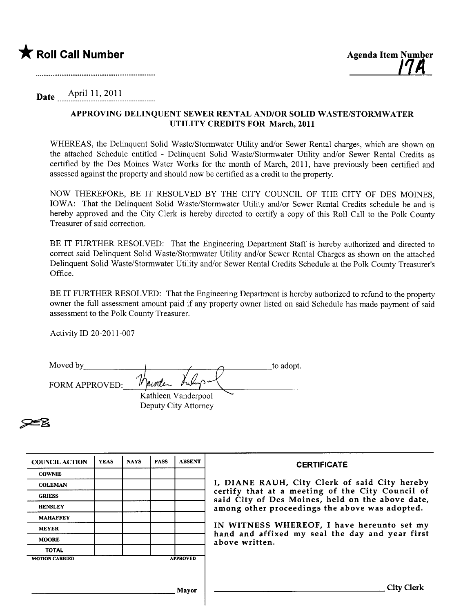

## **Date** April 11, 2011

## APPROVING DELINQUENT SEWER RENTAL AND/OR SOLID WASTE/STORMWATER UTILITY CREDITS FOR March, 2011

WHEREAS, the Delinquent Solid Waste/Stormwater Utility and/or Sewer Rental charges, which are shown on the attached Schedule entitled - Delinquent Solid Waste/Stormwater Utility and/or Sewer Rental Credits as certified by the Des Moines Water Works for the month of March, 2011, have previously been certified and assessed against the property and should now be certified as a credit to the property.

NOW THEREFORE, BE IT RESOLVED BY THE CITY COUNCIL OF THE CITY OF DES MOINES, IOWA: That the Delinquent Solid Waste/Stormwater Utility and/or Sewer Rental Credits schedule be and is hereby approved and the City Clerk is hereby directed to certify a copy of this Roll Call to the Polk County Treasurer of said correction.

BE IT FURTHER RESOLVED: That the Engineering Department Staff is hereby authorized and directed to correct said Delinquent Solid Waste/Stormwater Utility and/or Sewer Rental Charges as shown on the attached Delinquent Solid Waste/Stormwater Utility and/or Sewer Rental Credits Schedule at the Polk County Treasurer's Office.

BE IT FURTHER RESOLVED: That the Engineering Department is hereby authorized to refund to the property owner the full assessment amount paid if any property owner listed on said Schedule has made payment of said assessment to the Polk County Treasurer.

Activity ID 20-2011-007

| Moved by       |                      | to adopt. |
|----------------|----------------------|-----------|
| FORM APPROVED: | nooten bushys and    |           |
|                | Kathleen Vanderpool  |           |
|                | Deputy City Attorney |           |

|    | т. |
|----|----|
|    |    |
|    |    |
|    |    |
| ÆВ |    |
|    |    |
|    |    |

| <b>COUNCIL ACTION</b> | <b>YEAS</b> | <b>NAYS</b> | <b>PASS</b> | <b>ABSENT</b>   | <b>CERTIFICATE</b>                                                                                   |
|-----------------------|-------------|-------------|-------------|-----------------|------------------------------------------------------------------------------------------------------|
| <b>COWNIE</b>         |             |             |             |                 |                                                                                                      |
| <b>COLEMAN</b>        |             |             |             |                 | I, DIANE RAUH, City Clerk of said City hereby                                                        |
| <b>GRIESS</b>         |             |             |             |                 | certify that at a meeting of the City Council of<br>said City of Des Moines, held on the above date, |
| <b>HENSLEY</b>        |             |             |             |                 | among other proceedings the above was adopted.                                                       |
| <b>MAHAFFEY</b>       |             |             |             |                 |                                                                                                      |
| <b>MEYER</b>          |             |             |             |                 | IN WITNESS WHEREOF, I have hereunto set my<br>hand and affixed my seal the day and year first        |
| <b>MOORE</b>          |             |             |             |                 | above written.                                                                                       |
| <b>TOTAL</b>          |             |             |             |                 |                                                                                                      |
| <b>MOTION CARRIED</b> |             |             |             | <b>APPROVED</b> |                                                                                                      |
|                       |             |             |             |                 |                                                                                                      |
|                       |             |             |             | Mayor           | City Clerk                                                                                           |